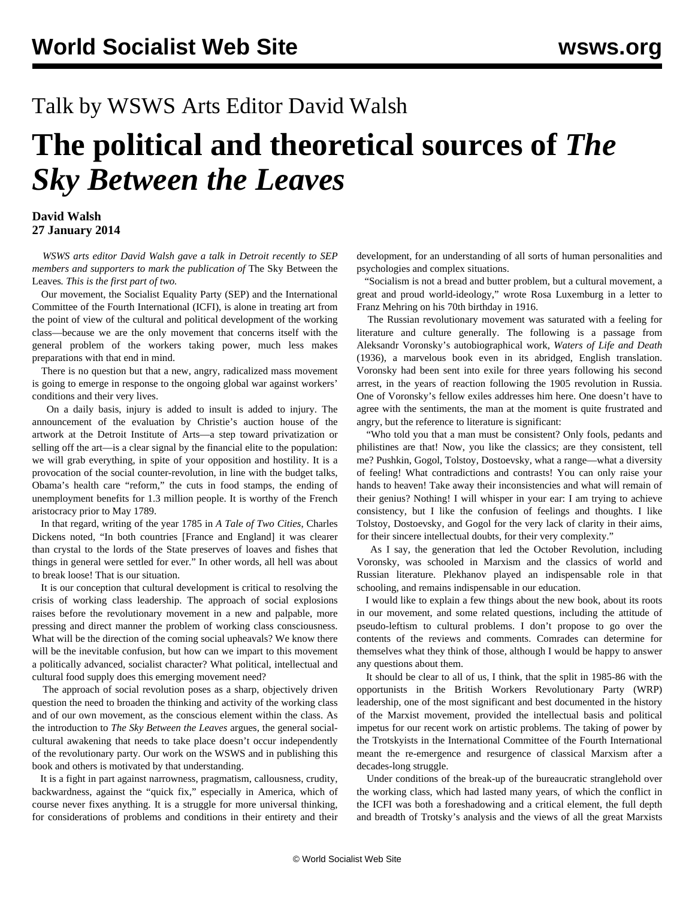## Talk by WSWS Arts Editor David Walsh

## **The political and theoretical sources of** *The Sky Between the Leaves*

## **David Walsh 27 January 2014**

 *WSWS arts editor David Walsh gave a talk in Detroit recently to SEP members and supporters to mark the publication of* The Sky Between the Leaves*. This is the first part of two.*

 Our movement, the Socialist Equality Party (SEP) and the International Committee of the Fourth International (ICFI), is alone in treating art from the point of view of the cultural and political development of the working class—because we are the only movement that concerns itself with the general problem of the workers taking power, much less makes preparations with that end in mind.

 There is no question but that a new, angry, radicalized mass movement is going to emerge in response to the ongoing global war against workers' conditions and their very lives.

 On a daily basis, injury is added to insult is added to injury. The announcement of the evaluation by Christie's auction house of the artwork at the Detroit Institute of Arts—a step toward privatization or selling off the art—is a clear signal by the financial elite to the population: we will grab everything, in spite of your opposition and hostility. It is a provocation of the social counter-revolution, in line with the budget talks, Obama's health care "reform," the cuts in food stamps, the ending of unemployment benefits for 1.3 million people. It is worthy of the French aristocracy prior to May 1789.

 In that regard, writing of the year 1785 in *A Tale of Two Cities*, Charles Dickens noted, "In both countries [France and England] it was clearer than crystal to the lords of the State preserves of loaves and fishes that things in general were settled for ever." In other words, all hell was about to break loose! That is our situation.

 It is our conception that cultural development is critical to resolving the crisis of working class leadership. The approach of social explosions raises before the revolutionary movement in a new and palpable, more pressing and direct manner the problem of working class consciousness. What will be the direction of the coming social upheavals? We know there will be the inevitable confusion, but how can we impart to this movement a politically advanced, socialist character? What political, intellectual and cultural food supply does this emerging movement need?

 The approach of social revolution poses as a sharp, objectively driven question the need to broaden the thinking and activity of the working class and of our own movement, as the conscious element within the class. As the introduction to *The Sky Between the Leaves* argues, the general socialcultural awakening that needs to take place doesn't occur independently of the revolutionary party. Our work on the WSWS and in publishing this book and others is motivated by that understanding.

 It is a fight in part against narrowness, pragmatism, callousness, crudity, backwardness, against the "quick fix," especially in America, which of course never fixes anything. It is a struggle for more universal thinking, for considerations of problems and conditions in their entirety and their development, for an understanding of all sorts of human personalities and psychologies and complex situations.

 "Socialism is not a bread and butter problem, but a cultural movement, a great and proud world-ideology," wrote Rosa Luxemburg in a letter to Franz Mehring on his 70th birthday in 1916.

 The Russian revolutionary movement was saturated with a feeling for literature and culture generally. The following is a passage from Aleksandr Voronsky's autobiographical work, *Waters of Life and Death* (1936), a marvelous book even in its abridged, English translation. Voronsky had been sent into exile for three years following his second arrest, in the years of reaction following the 1905 revolution in Russia. One of Voronsky's fellow exiles addresses him here. One doesn't have to agree with the sentiments, the man at the moment is quite frustrated and angry, but the reference to literature is significant:

 "Who told you that a man must be consistent? Only fools, pedants and philistines are that! Now, you like the classics; are they consistent, tell me? Pushkin, Gogol, Tolstoy, Dostoevsky, what a range—what a diversity of feeling! What contradictions and contrasts! You can only raise your hands to heaven! Take away their inconsistencies and what will remain of their genius? Nothing! I will whisper in your ear: I am trying to achieve consistency, but I like the confusion of feelings and thoughts. I like Tolstoy, Dostoevsky, and Gogol for the very lack of clarity in their aims, for their sincere intellectual doubts, for their very complexity."

 As I say, the generation that led the October Revolution, including Voronsky, was schooled in Marxism and the classics of world and Russian literature. Plekhanov played an indispensable role in that schooling, and remains indispensable in our education.

 I would like to explain a few things about the new book, about its roots in our movement, and some related questions, including the attitude of pseudo-leftism to cultural problems. I don't propose to go over the contents of the reviews and comments. Comrades can determine for themselves what they think of those, although I would be happy to answer any questions about them.

 It should be clear to all of us, I think, that the split in 1985-86 with the opportunists in the British Workers Revolutionary Party (WRP) leadership, one of the most significant and best documented in the history of the Marxist movement, provided the intellectual basis and political impetus for our recent work on artistic problems. The taking of power by the Trotskyists in the International Committee of the Fourth International meant the re-emergence and resurgence of classical Marxism after a decades-long struggle.

 Under conditions of the break-up of the bureaucratic stranglehold over the working class, which had lasted many years, of which the conflict in the ICFI was both a foreshadowing and a critical element, the full depth and breadth of Trotsky's analysis and the views of all the great Marxists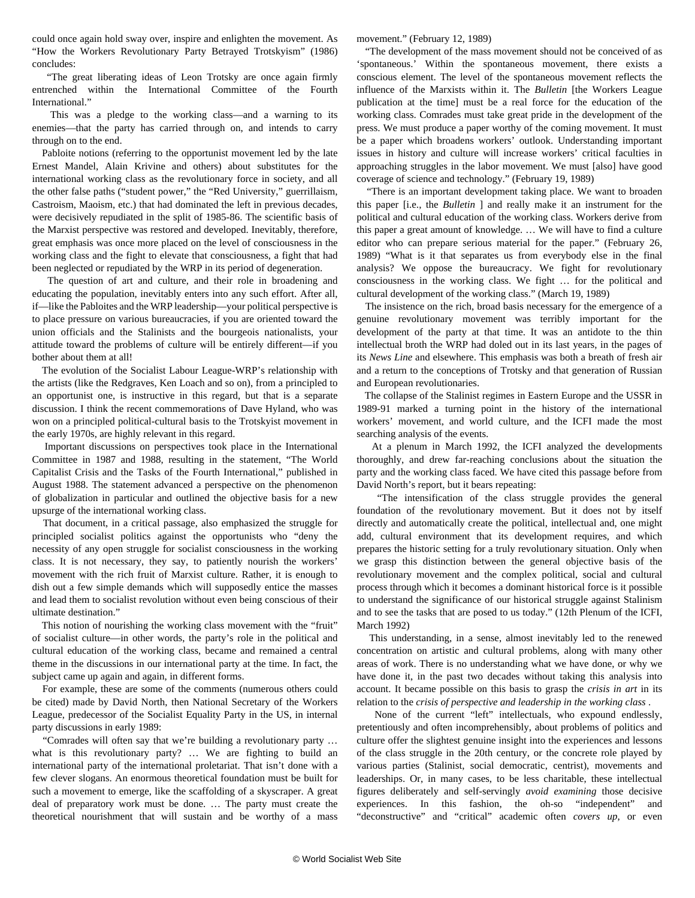could once again hold sway over, inspire and enlighten the movement. As "How the Workers Revolutionary Party Betrayed Trotskyism" (1986) concludes:

 "The great liberating ideas of Leon Trotsky are once again firmly entrenched within the International Committee of the Fourth International."

 This was a pledge to the working class—and a warning to its enemies—that the party has carried through on, and intends to carry through on to the end.

 Pabloite notions (referring to the opportunist movement led by the late Ernest Mandel, Alain Krivine and others) about substitutes for the international working class as the revolutionary force in society, and all the other false paths ("student power," the "Red University," guerrillaism, Castroism, Maoism, etc.) that had dominated the left in previous decades, were decisively repudiated in the split of 1985-86. The scientific basis of the Marxist perspective was restored and developed. Inevitably, therefore, great emphasis was once more placed on the level of consciousness in the working class and the fight to elevate that consciousness, a fight that had been neglected or repudiated by the WRP in its period of degeneration.

 The question of art and culture, and their role in broadening and educating the population, inevitably enters into any such effort. After all, if—like the Pabloites and the WRP leadership—your political perspective is to place pressure on various bureaucracies, if you are oriented toward the union officials and the Stalinists and the bourgeois nationalists, your attitude toward the problems of culture will be entirely different—if you bother about them at all!

 The evolution of the Socialist Labour League-WRP's relationship with the artists (like the Redgraves, Ken Loach and so on), from a principled to an opportunist one, is instructive in this regard, but that is a separate discussion. I think the recent commemorations of Dave Hyland, who was won on a principled political-cultural basis to the Trotskyist movement in the early 1970s, are highly relevant in this regard.

 Important discussions on perspectives took place in the International Committee in 1987 and 1988, resulting in the statement, "The World Capitalist Crisis and the Tasks of the Fourth International," published in August 1988. The statement advanced a perspective on the phenomenon of globalization in particular and outlined the objective basis for a new upsurge of the international working class.

 That document, in a critical passage, also emphasized the struggle for principled socialist politics against the opportunists who "deny the necessity of any open struggle for socialist consciousness in the working class. It is not necessary, they say, to patiently nourish the workers' movement with the rich fruit of Marxist culture. Rather, it is enough to dish out a few simple demands which will supposedly entice the masses and lead them to socialist revolution without even being conscious of their ultimate destination."

 This notion of nourishing the working class movement with the "fruit" of socialist culture—in other words, the party's role in the political and cultural education of the working class, became and remained a central theme in the discussions in our international party at the time. In fact, the subject came up again and again, in different forms.

 For example, these are some of the comments (numerous others could be cited) made by David North, then National Secretary of the Workers League, predecessor of the Socialist Equality Party in the US, in internal party discussions in early 1989:

 "Comrades will often say that we're building a revolutionary party … what is this revolutionary party? … We are fighting to build an international party of the international proletariat. That isn't done with a few clever slogans. An enormous theoretical foundation must be built for such a movement to emerge, like the scaffolding of a skyscraper. A great deal of preparatory work must be done. … The party must create the theoretical nourishment that will sustain and be worthy of a mass movement." (February 12, 1989)

 "The development of the mass movement should not be conceived of as 'spontaneous.' Within the spontaneous movement, there exists a conscious element. The level of the spontaneous movement reflects the influence of the Marxists within it. The *Bulletin* [the Workers League publication at the time] must be a real force for the education of the working class. Comrades must take great pride in the development of the press. We must produce a paper worthy of the coming movement. It must be a paper which broadens workers' outlook. Understanding important issues in history and culture will increase workers' critical faculties in approaching struggles in the labor movement. We must [also] have good coverage of science and technology." (February 19, 1989)

 "There is an important development taking place. We want to broaden this paper [i.e., the *Bulletin* ] and really make it an instrument for the political and cultural education of the working class. Workers derive from this paper a great amount of knowledge. … We will have to find a culture editor who can prepare serious material for the paper." (February 26, 1989) "What is it that separates us from everybody else in the final analysis? We oppose the bureaucracy. We fight for revolutionary consciousness in the working class. We fight … for the political and cultural development of the working class." (March 19, 1989)

 The insistence on the rich, broad basis necessary for the emergence of a genuine revolutionary movement was terribly important for the development of the party at that time. It was an antidote to the thin intellectual broth the WRP had doled out in its last years, in the pages of its *News Line* and elsewhere. This emphasis was both a breath of fresh air and a return to the conceptions of Trotsky and that generation of Russian and European revolutionaries.

 The collapse of the Stalinist regimes in Eastern Europe and the USSR in 1989-91 marked a turning point in the history of the international workers' movement, and world culture, and the ICFI made the most searching analysis of the events.

 At a plenum in March 1992, the ICFI analyzed the developments thoroughly, and drew far-reaching conclusions about the situation the party and the working class faced. We have cited this passage before from David North's report, but it bears repeating:

 "The intensification of the class struggle provides the general foundation of the revolutionary movement. But it does not by itself directly and automatically create the political, intellectual and, one might add, cultural environment that its development requires, and which prepares the historic setting for a truly revolutionary situation. Only when we grasp this distinction between the general objective basis of the revolutionary movement and the complex political, social and cultural process through which it becomes a dominant historical force is it possible to understand the significance of our historical struggle against Stalinism and to see the tasks that are posed to us today." (12th Plenum of the ICFI, March 1992)

 This understanding, in a sense, almost inevitably led to the renewed concentration on artistic and cultural problems, along with many other areas of work. There is no understanding what we have done, or why we have done it, in the past two decades without taking this analysis into account. It became possible on this basis to grasp the *crisis in art* in its relation to the *crisis of perspective and leadership in the working class* .

 None of the current "left" intellectuals, who expound endlessly, pretentiously and often incomprehensibly, about problems of politics and culture offer the slightest genuine insight into the experiences and lessons of the class struggle in the 20th century, or the concrete role played by various parties (Stalinist, social democratic, centrist), movements and leaderships. Or, in many cases, to be less charitable, these intellectual figures deliberately and self-servingly *avoid examining* those decisive experiences. In this fashion, the oh-so "independent" and "deconstructive" and "critical" academic often *covers up*, or even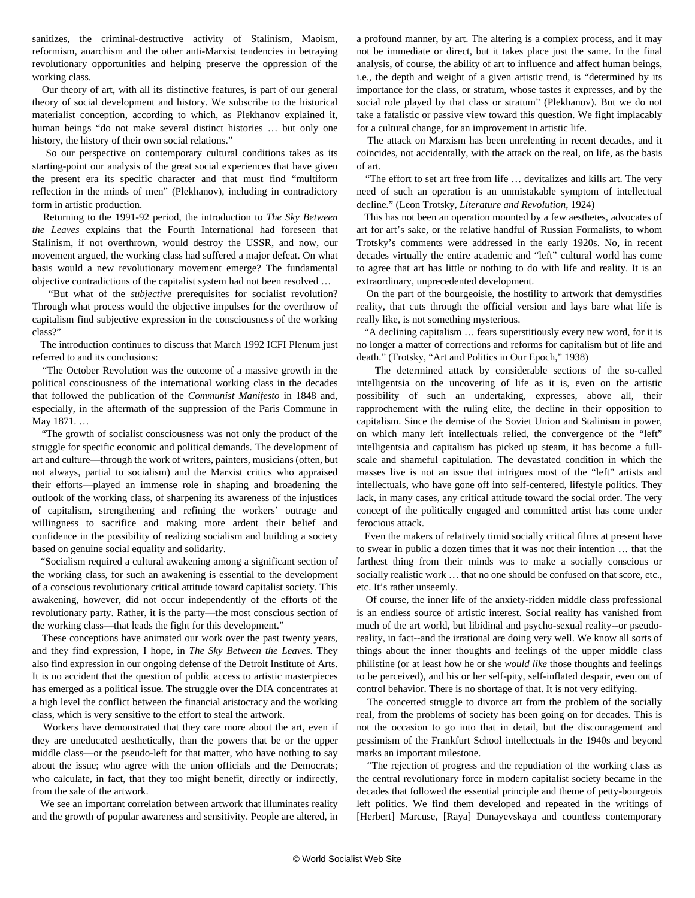sanitizes, the criminal-destructive activity of Stalinism, Maoism, reformism, anarchism and the other anti-Marxist tendencies in betraying revolutionary opportunities and helping preserve the oppression of the working class.

 Our theory of art, with all its distinctive features, is part of our general theory of social development and history. We subscribe to the historical materialist conception, according to which, as Plekhanov explained it, human beings "do not make several distinct histories … but only one history, the history of their own social relations."

 So our perspective on contemporary cultural conditions takes as its starting-point our analysis of the great social experiences that have given the present era its specific character and that must find "multiform reflection in the minds of men" (Plekhanov), including in contradictory form in artistic production.

 Returning to the 1991-92 period, the introduction to *The Sky Between the Leaves* explains that the Fourth International had foreseen that Stalinism, if not overthrown, would destroy the USSR, and now, our movement argued, the working class had suffered a major defeat. On what basis would a new revolutionary movement emerge? The fundamental objective contradictions of the capitalist system had not been resolved …

 "But what of the *subjective* prerequisites for socialist revolution? Through what process would the objective impulses for the overthrow of capitalism find subjective expression in the consciousness of the working class?"

 The introduction continues to discuss that March 1992 ICFI Plenum just referred to and its conclusions:

 "The October Revolution was the outcome of a massive growth in the political consciousness of the international working class in the decades that followed the publication of the *Communist Manifesto* in 1848 and, especially, in the aftermath of the suppression of the Paris Commune in May 1871. …

 "The growth of socialist consciousness was not only the product of the struggle for specific economic and political demands. The development of art and culture—through the work of writers, painters, musicians (often, but not always, partial to socialism) and the Marxist critics who appraised their efforts—played an immense role in shaping and broadening the outlook of the working class, of sharpening its awareness of the injustices of capitalism, strengthening and refining the workers' outrage and willingness to sacrifice and making more ardent their belief and confidence in the possibility of realizing socialism and building a society based on genuine social equality and solidarity.

 "Socialism required a cultural awakening among a significant section of the working class, for such an awakening is essential to the development of a conscious revolutionary critical attitude toward capitalist society. This awakening, however, did not occur independently of the efforts of the revolutionary party. Rather, it is the party—the most conscious section of the working class—that leads the fight for this development."

 These conceptions have animated our work over the past twenty years, and they find expression, I hope, in *The Sky Between the Leaves*. They also find expression in our ongoing defense of the Detroit Institute of Arts. It is no accident that the question of public access to artistic masterpieces has emerged as a political issue. The struggle over the DIA concentrates at a high level the conflict between the financial aristocracy and the working class, which is very sensitive to the effort to steal the artwork.

 Workers have demonstrated that they care more about the art, even if they are uneducated aesthetically, than the powers that be or the upper middle class—or the pseudo-left for that matter, who have nothing to say about the issue; who agree with the union officials and the Democrats; who calculate, in fact, that they too might benefit, directly or indirectly, from the sale of the artwork.

 We see an important correlation between artwork that illuminates reality and the growth of popular awareness and sensitivity. People are altered, in

a profound manner, by art. The altering is a complex process, and it may not be immediate or direct, but it takes place just the same. In the final analysis, of course, the ability of art to influence and affect human beings, i.e., the depth and weight of a given artistic trend, is "determined by its importance for the class, or stratum, whose tastes it expresses, and by the social role played by that class or stratum" (Plekhanov). But we do not take a fatalistic or passive view toward this question. We fight implacably for a cultural change, for an improvement in artistic life.

 The attack on Marxism has been unrelenting in recent decades, and it coincides, not accidentally, with the attack on the real, on life, as the basis of art.

 "The effort to set art free from life … devitalizes and kills art. The very need of such an operation is an unmistakable symptom of intellectual decline." (Leon Trotsky, *Literature and Revolution*, 1924)

 This has not been an operation mounted by a few aesthetes, advocates of art for art's sake, or the relative handful of Russian Formalists, to whom Trotsky's comments were addressed in the early 1920s. No, in recent decades virtually the entire academic and "left" cultural world has come to agree that art has little or nothing to do with life and reality. It is an extraordinary, unprecedented development.

 On the part of the bourgeoisie, the hostility to artwork that demystifies reality, that cuts through the official version and lays bare what life is really like, is not something mysterious.

 "A declining capitalism … fears superstitiously every new word, for it is no longer a matter of corrections and reforms for capitalism but of life and death." (Trotsky, "Art and Politics in Our Epoch," 1938)

 The determined attack by considerable sections of the so-called intelligentsia on the uncovering of life as it is, even on the artistic possibility of such an undertaking, expresses, above all, their rapprochement with the ruling elite, the decline in their opposition to capitalism. Since the demise of the Soviet Union and Stalinism in power, on which many left intellectuals relied, the convergence of the "left" intelligentsia and capitalism has picked up steam, it has become a fullscale and shameful capitulation. The devastated condition in which the masses live is not an issue that intrigues most of the "left" artists and intellectuals, who have gone off into self-centered, lifestyle politics. They lack, in many cases, any critical attitude toward the social order. The very concept of the politically engaged and committed artist has come under ferocious attack.

 Even the makers of relatively timid socially critical films at present have to swear in public a dozen times that it was not their intention … that the farthest thing from their minds was to make a socially conscious or socially realistic work … that no one should be confused on that score, etc., etc. It's rather unseemly.

 Of course, the inner life of the anxiety-ridden middle class professional is an endless source of artistic interest. Social reality has vanished from much of the art world, but libidinal and psycho-sexual reality--or pseudoreality, in fact--and the irrational are doing very well. We know all sorts of things about the inner thoughts and feelings of the upper middle class philistine (or at least how he or she *would like* those thoughts and feelings to be perceived), and his or her self-pity, self-inflated despair, even out of control behavior. There is no shortage of that. It is not very edifying.

 The concerted struggle to divorce art from the problem of the socially real, from the problems of society has been going on for decades. This is not the occasion to go into that in detail, but the discouragement and pessimism of the Frankfurt School intellectuals in the 1940s and beyond marks an important milestone.

 "The rejection of progress and the repudiation of the working class as the central revolutionary force in modern capitalist society became in the decades that followed the essential principle and theme of petty-bourgeois left politics. We find them developed and repeated in the writings of [Herbert] Marcuse, [Raya] Dunayevskaya and countless contemporary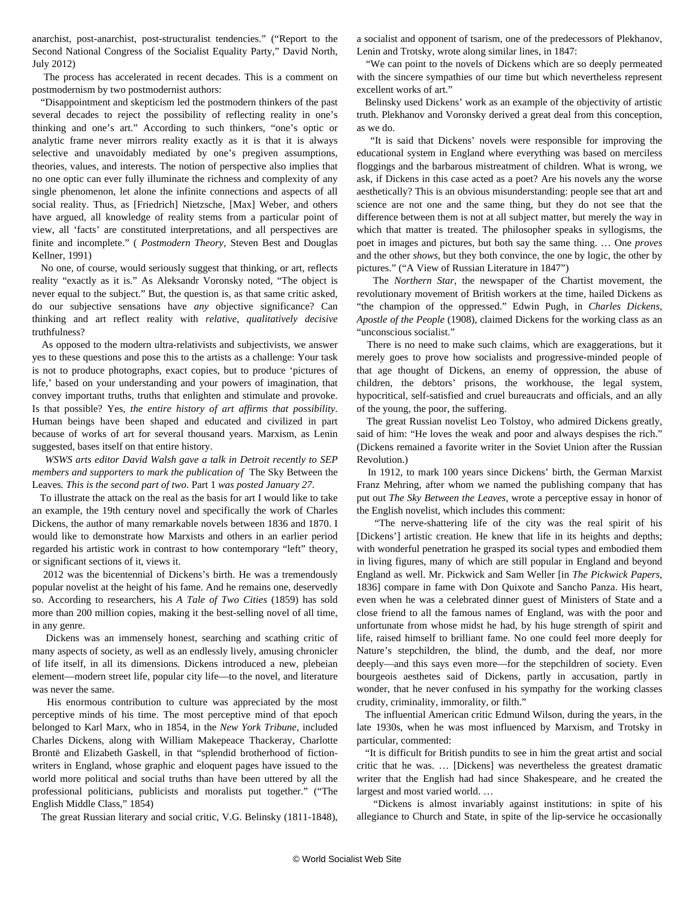anarchist, post-anarchist, post-structuralist tendencies." ("Report to the Second National Congress of the Socialist Equality Party," David North, July 2012)

 The process has accelerated in recent decades. This is a comment on postmodernism by two postmodernist authors:

 "Disappointment and skepticism led the postmodern thinkers of the past several decades to reject the possibility of reflecting reality in one's thinking and one's art." According to such thinkers, "one's optic or analytic frame never mirrors reality exactly as it is that it is always selective and unavoidably mediated by one's pregiven assumptions, theories, values, and interests. The notion of perspective also implies that no one optic can ever fully illuminate the richness and complexity of any single phenomenon, let alone the infinite connections and aspects of all social reality. Thus, as [Friedrich] Nietzsche, [Max] Weber, and others have argued, all knowledge of reality stems from a particular point of view, all 'facts' are constituted interpretations, and all perspectives are finite and incomplete." ( *Postmodern Theory*, Steven Best and Douglas Kellner, 1991)

 No one, of course, would seriously suggest that thinking, or art, reflects reality "exactly as it is." As Aleksandr Voronsky noted, "The object is never equal to the subject." But, the question is, as that same critic asked, do our subjective sensations have *any* objective significance? Can thinking and art reflect reality with *relative, qualitatively decisive* truthfulness?

 As opposed to the modern ultra-relativists and subjectivists, we answer yes to these questions and pose this to the artists as a challenge: Your task is not to produce photographs, exact copies, but to produce 'pictures of life,' based on your understanding and your powers of imagination, that convey important truths, truths that enlighten and stimulate and provoke. Is that possible? Yes, *the entire history of art affirms that possibility*. Human beings have been shaped and educated and civilized in part because of works of art for several thousand years. Marxism, as Lenin suggested, bases itself on that entire history.

 *WSWS arts editor David Walsh gave a talk in Detroit recently to SEP members and supporters to mark the publication of* [The Sky Between the](http://www.skybetweentheleaves.com/) [Leaves](http://www.skybetweentheleaves.com/)*. This is the second part of two.* [Part 1](/en/articles/2014/01/27/sky1-j27.html) *was posted January 27.*

 To illustrate the attack on the real as the basis for art I would like to take an example, the 19th century novel and specifically the work of Charles Dickens, the author of many remarkable novels between 1836 and 1870. I would like to demonstrate how Marxists and others in an earlier period regarded his artistic work in contrast to how contemporary "left" theory, or significant sections of it, views it.

 2012 was the bicentennial of Dickens's birth. He was a tremendously popular novelist at the height of his fame. And he remains one, deservedly so. According to researchers, his *A Tale of Two Cities* (1859) has sold more than 200 million copies, making it the best-selling novel of all time, in any genre.

 Dickens was an immensely honest, searching and scathing critic of many aspects of society, as well as an endlessly lively, amusing chronicler of life itself, in all its dimensions. Dickens introduced a new, plebeian element—modern street life, popular city life—to the novel, and literature was never the same.

 His enormous contribution to culture was appreciated by the most perceptive minds of his time. The most perceptive mind of that epoch belonged to Karl Marx, who in 1854, in the *New York Tribune*, included Charles Dickens, along with William Makepeace Thackeray, Charlotte Brontë and Elizabeth Gaskell, in that "splendid brotherhood of fictionwriters in England, whose graphic and eloquent pages have issued to the world more political and social truths than have been uttered by all the professional politicians, publicists and moralists put together." ("The English Middle Class," 1854)

The great Russian literary and social critic, V.G. Belinsky (1811-1848),

a socialist and opponent of tsarism, one of the predecessors of Plekhanov, Lenin and Trotsky, wrote along similar lines, in 1847:

 "We can point to the novels of Dickens which are so deeply permeated with the sincere sympathies of our time but which nevertheless represent excellent works of art."

 Belinsky used Dickens' work as an example of the objectivity of artistic truth. Plekhanov and Voronsky derived a great deal from this conception, as we do.

 "It is said that Dickens' novels were responsible for improving the educational system in England where everything was based on merciless floggings and the barbarous mistreatment of children. What is wrong, we ask, if Dickens in this case acted as a poet? Are his novels any the worse aesthetically? This is an obvious misunderstanding: people see that art and science are not one and the same thing, but they do not see that the difference between them is not at all subject matter, but merely the way in which that matter is treated. The philosopher speaks in syllogisms, the poet in images and pictures, but both say the same thing. … One *proves* and the other *shows*, but they both convince, the one by logic, the other by pictures." ("A View of Russian Literature in 1847")

 The *Northern Star*, the newspaper of the Chartist movement, the revolutionary movement of British workers at the time, hailed Dickens as "the champion of the oppressed." Edwin Pugh, in *Charles Dickens, Apostle of the People* (1908), claimed Dickens for the working class as an "unconscious socialist."

 There is no need to make such claims, which are exaggerations, but it merely goes to prove how socialists and progressive-minded people of that age thought of Dickens, an enemy of oppression, the abuse of children, the debtors' prisons, the workhouse, the legal system, hypocritical, self-satisfied and cruel bureaucrats and officials, and an ally of the young, the poor, the suffering.

 The great Russian novelist Leo Tolstoy, who admired Dickens greatly, said of him: "He loves the weak and poor and always despises the rich." (Dickens remained a favorite writer in the Soviet Union after the Russian Revolution.)

 In 1912, to mark 100 years since Dickens' birth, the German Marxist Franz Mehring, after whom we named the publishing company that has put out *The Sky Between the Leaves*, wrote a perceptive essay in honor of the English novelist, which includes this comment:

 "The nerve-shattering life of the city was the real spirit of his [Dickens'] artistic creation. He knew that life in its heights and depths; with wonderful penetration he grasped its social types and embodied them in living figures, many of which are still popular in England and beyond England as well. Mr. Pickwick and Sam Weller [in *The Pickwick Papers*, 1836] compare in fame with Don Quixote and Sancho Panza. His heart, even when he was a celebrated dinner guest of Ministers of State and a close friend to all the famous names of England, was with the poor and unfortunate from whose midst he had, by his huge strength of spirit and life, raised himself to brilliant fame. No one could feel more deeply for Nature's stepchildren, the blind, the dumb, and the deaf, nor more deeply—and this says even more—for the stepchildren of society. Even bourgeois aesthetes said of Dickens, partly in accusation, partly in wonder, that he never confused in his sympathy for the working classes crudity, criminality, immorality, or filth."

 The influential American critic Edmund Wilson, during the years, in the late 1930s, when he was most influenced by Marxism, and Trotsky in particular, commented:

 "It is difficult for British pundits to see in him the great artist and social critic that he was. … [Dickens] was nevertheless the greatest dramatic writer that the English had had since Shakespeare, and he created the largest and most varied world. …

 "Dickens is almost invariably against institutions: in spite of his allegiance to Church and State, in spite of the lip-service he occasionally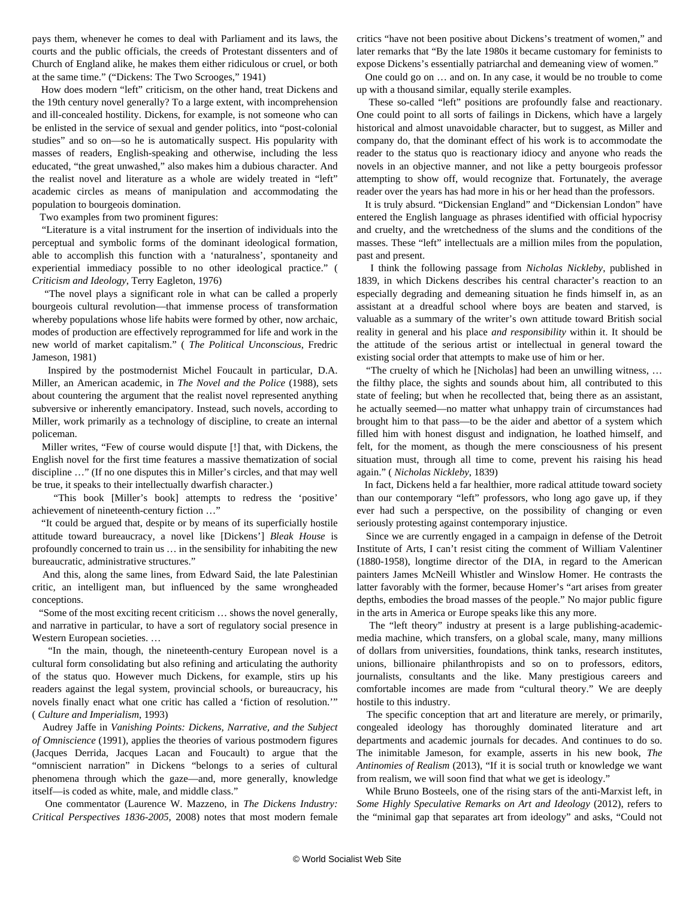pays them, whenever he comes to deal with Parliament and its laws, the courts and the public officials, the creeds of Protestant dissenters and of Church of England alike, he makes them either ridiculous or cruel, or both at the same time." ("Dickens: The Two Scrooges," 1941)

 How does modern "left" criticism, on the other hand, treat Dickens and the 19th century novel generally? To a large extent, with incomprehension and ill-concealed hostility. Dickens, for example, is not someone who can be enlisted in the service of sexual and gender politics, into "post-colonial studies" and so on—so he is automatically suspect. His popularity with masses of readers, English-speaking and otherwise, including the less educated, "the great unwashed," also makes him a dubious character. And the realist novel and literature as a whole are widely treated in "left" academic circles as means of manipulation and accommodating the population to bourgeois domination.

Two examples from two prominent figures:

 "Literature is a vital instrument for the insertion of individuals into the perceptual and symbolic forms of the dominant ideological formation, able to accomplish this function with a 'naturalness', spontaneity and experiential immediacy possible to no other ideological practice." ( *Criticism and Ideology*, Terry Eagleton, 1976)

 "The novel plays a significant role in what can be called a properly bourgeois cultural revolution—that immense process of transformation whereby populations whose life habits were formed by other, now archaic, modes of production are effectively reprogrammed for life and work in the new world of market capitalism." ( *The Political Unconscious*, Fredric Jameson, 1981)

 Inspired by the postmodernist Michel Foucault in particular, D.A. Miller, an American academic, in *The Novel and the Police* (1988), sets about countering the argument that the realist novel represented anything subversive or inherently emancipatory. Instead, such novels, according to Miller, work primarily as a technology of discipline, to create an internal policeman.

 Miller writes, "Few of course would dispute [!] that, with Dickens, the English novel for the first time features a massive thematization of social discipline …" (If no one disputes this in Miller's circles, and that may well be true, it speaks to their intellectually dwarfish character.)

 "This book [Miller's book] attempts to redress the 'positive' achievement of nineteenth-century fiction …"

 "It could be argued that, despite or by means of its superficially hostile attitude toward bureaucracy, a novel like [Dickens'] *Bleak House* is profoundly concerned to train us … in the sensibility for inhabiting the new bureaucratic, administrative structures."

 And this, along the same lines, from Edward Said, the late Palestinian critic, an intelligent man, but influenced by the same wrongheaded conceptions.

 "Some of the most exciting recent criticism … shows the novel generally, and narrative in particular, to have a sort of regulatory social presence in Western European societies. …

 "In the main, though, the nineteenth-century European novel is a cultural form consolidating but also refining and articulating the authority of the status quo. However much Dickens, for example, stirs up his readers against the legal system, provincial schools, or bureaucracy, his novels finally enact what one critic has called a 'fiction of resolution.'" ( *Culture and Imperialism*, 1993)

 Audrey Jaffe in *Vanishing Points: Dickens, Narrative, and the Subject of Omniscience* (1991), applies the theories of various postmodern figures (Jacques Derrida, Jacques Lacan and Foucault) to argue that the "omniscient narration" in Dickens "belongs to a series of cultural phenomena through which the gaze—and, more generally, knowledge itself—is coded as white, male, and middle class."

 One commentator (Laurence W. Mazzeno, in *The Dickens Industry: Critical Perspectives 1836-2005*, 2008) notes that most modern female critics "have not been positive about Dickens's treatment of women," and later remarks that "By the late 1980s it became customary for feminists to expose Dickens's essentially patriarchal and demeaning view of women."

 One could go on … and on. In any case, it would be no trouble to come up with a thousand similar, equally sterile examples.

 These so-called "left" positions are profoundly false and reactionary. One could point to all sorts of failings in Dickens, which have a largely historical and almost unavoidable character, but to suggest, as Miller and company do, that the dominant effect of his work is to accommodate the reader to the status quo is reactionary idiocy and anyone who reads the novels in an objective manner, and not like a petty bourgeois professor attempting to show off, would recognize that. Fortunately, the average reader over the years has had more in his or her head than the professors.

 It is truly absurd. "Dickensian England" and "Dickensian London" have entered the English language as phrases identified with official hypocrisy and cruelty, and the wretchedness of the slums and the conditions of the masses. These "left" intellectuals are a million miles from the population, past and present.

 I think the following passage from *Nicholas Nickleby*, published in 1839, in which Dickens describes his central character's reaction to an especially degrading and demeaning situation he finds himself in, as an assistant at a dreadful school where boys are beaten and starved, is valuable as a summary of the writer's own attitude toward British social reality in general and his place *and responsibility* within it. It should be the attitude of the serious artist or intellectual in general toward the existing social order that attempts to make use of him or her.

 "The cruelty of which he [Nicholas] had been an unwilling witness, … the filthy place, the sights and sounds about him, all contributed to this state of feeling; but when he recollected that, being there as an assistant, he actually seemed—no matter what unhappy train of circumstances had brought him to that pass—to be the aider and abettor of a system which filled him with honest disgust and indignation, he loathed himself, and felt, for the moment, as though the mere consciousness of his present situation must, through all time to come, prevent his raising his head again." ( *Nicholas Nickleby*, 1839)

 In fact, Dickens held a far healthier, more radical attitude toward society than our contemporary "left" professors, who long ago gave up, if they ever had such a perspective, on the possibility of changing or even seriously protesting against contemporary injustice.

 Since we are currently engaged in a campaign in defense of the Detroit Institute of Arts, I can't resist citing the comment of William Valentiner (1880-1958), longtime director of the DIA, in regard to the American painters James McNeill Whistler and Winslow Homer. He contrasts the latter favorably with the former, because Homer's "art arises from greater depths, embodies the broad masses of the people." No major public figure in the arts in America or Europe speaks like this any more.

 The "left theory" industry at present is a large publishing-academicmedia machine, which transfers, on a global scale, many, many millions of dollars from universities, foundations, think tanks, research institutes, unions, billionaire philanthropists and so on to professors, editors, journalists, consultants and the like. Many prestigious careers and comfortable incomes are made from "cultural theory." We are deeply hostile to this industry.

 The specific conception that art and literature are merely, or primarily, congealed ideology has thoroughly dominated literature and art departments and academic journals for decades. And continues to do so. The inimitable Jameson, for example, asserts in his new book, *The Antinomies of Realism* (2013), "If it is social truth or knowledge we want from realism, we will soon find that what we get is ideology."

 While Bruno Bosteels, one of the rising stars of the anti-Marxist left, in *Some Highly Speculative Remarks on Art and Ideology* (2012), refers to the "minimal gap that separates art from ideology" and asks, "Could not